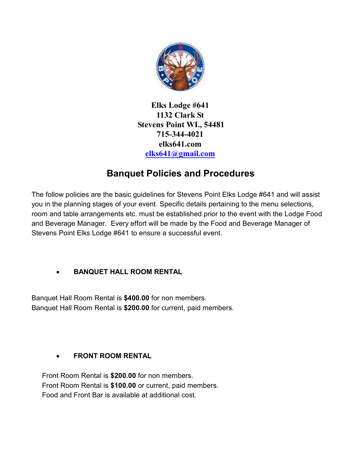

Elks Lodge #641 1132 Clark St Stevens Point WI., 54481 715-344-4021 elks641.com elks641@gmail.com

# Banquet Policies and Procedures

The follow policies are the basic guidelines for Stevens Point Elks Lodge #641 and will assist you in the planning stages of your event. Specific details pertaining to the menu selections, room and table arrangements etc. must be established prior to the event with the Lodge Food and Beverage Manager. Every effort will be made by the Food and Beverage Manager of Stevens Point Elks Lodge #641 to ensure a successful event.

# BANQUET HALL ROOM RENTAL

Banquet Hall Room Rental is \$400.00 for non members. Banquet Hall Room Rental is \$200.00 for current, paid members.

# FRONT ROOM RENTAL

Front Room Rental is \$200.00 for non members. Front Room Rental is \$100.00 or current, paid members. Food and Front Bar is available at additional cost.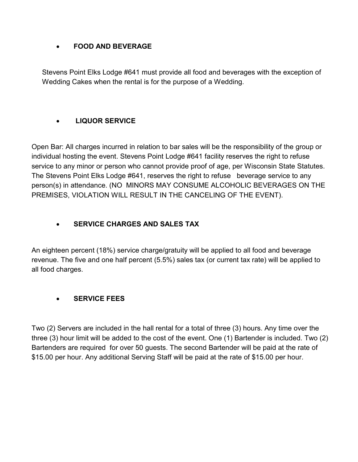#### FOOD AND BEVERAGE

Stevens Point Elks Lodge #641 must provide all food and beverages with the exception of Wedding Cakes when the rental is for the purpose of a Wedding.

# LIQUOR SERVICE

Open Bar: All charges incurred in relation to bar sales will be the responsibility of the group or individual hosting the event. Stevens Point Lodge #641 facility reserves the right to refuse service to any minor or person who cannot provide proof of age, per Wisconsin State Statutes. The Stevens Point Elks Lodge #641, reserves the right to refuse beverage service to any person(s) in attendance. (NO MINORS MAY CONSUME ALCOHOLIC BEVERAGES ON THE PREMISES, VIOLATION WILL RESULT IN THE CANCELING OF THE EVENT).

## SERVICE CHARGES AND SALES TAX

An eighteen percent (18%) service charge/gratuity will be applied to all food and beverage revenue. The five and one half percent (5.5%) sales tax (or current tax rate) will be applied to all food charges.

## SERVICE FEES

Two (2) Servers are included in the hall rental for a total of three (3) hours. Any time over the three (3) hour limit will be added to the cost of the event. One (1) Bartender is included. Two (2) Bartenders are required for over 50 guests. The second Bartender will be paid at the rate of \$15.00 per hour. Any additional Serving Staff will be paid at the rate of \$15.00 per hour.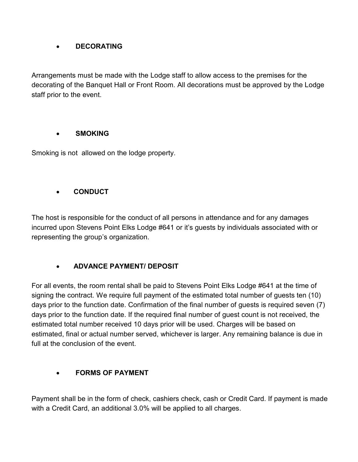#### **•** DECORATING

Arrangements must be made with the Lodge staff to allow access to the premises for the decorating of the Banquet Hall or Front Room. All decorations must be approved by the Lodge staff prior to the event.

#### SMOKING

Smoking is not allowed on the lodge property.

#### **CONDUCT**

The host is responsible for the conduct of all persons in attendance and for any damages incurred upon Stevens Point Elks Lodge #641 or it's guests by individuals associated with or representing the group's organization.

## ADVANCE PAYMENT/ DEPOSIT

For all events, the room rental shall be paid to Stevens Point Elks Lodge #641 at the time of signing the contract. We require full payment of the estimated total number of guests ten (10) days prior to the function date. Confirmation of the final number of guests is required seven (7) days prior to the function date. If the required final number of guest count is not received, the estimated total number received 10 days prior will be used. Charges will be based on estimated, final or actual number served, whichever is larger. Any remaining balance is due in full at the conclusion of the event.

## FORMS OF PAYMENT

Payment shall be in the form of check, cashiers check, cash or Credit Card. If payment is made with a Credit Card, an additional 3.0% will be applied to all charges.